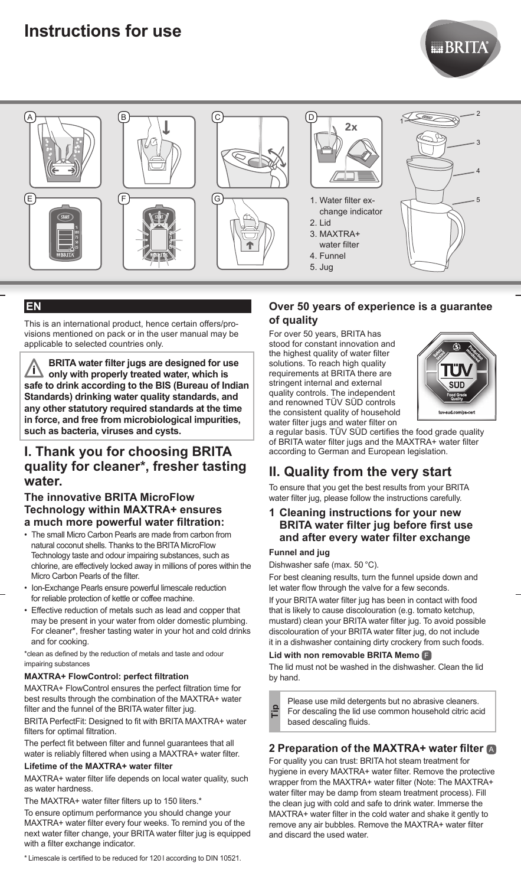# **Instructions for use**





# **EN**

This is an international product, hence certain offers/provisions mentioned on pack or in the user manual may be applicable to selected countries only.

**BRITA water filter jugs are designed for use**  <u>/i\</u>  **only with properly treated water, which is safe to drink according to the BIS (Bureau of Indian Standards) drinking water quality standards, and any other statutory required standards at the time in force, and free from microbiological impurities, such as bacteria, viruses and cysts.** 

# **I. Thank you for choosing BRITA quality for cleaner\*, fresher tasting water.**

#### **The innovative BRITA MicroFlow Technology within MAXTRA+ ensures a much more powerful water filtration:**

- The small Micro Carbon Pearls are made from carbon from natural coconut shells. Thanks to the BRITA MicroFlow Technology taste and odour impairing substances, such as chlorine, are effectively locked away in millions of pores within the Micro Carbon Pearls of the filter.
- Ion-Exchange Pearls ensure powerful limescale reduction for reliable protection of kettle or coffee machine.
- Effective reduction of metals such as lead and copper that may be present in your water from older domestic plumbing. For cleaner\*, fresher tasting water in your hot and cold drinks and for cooking.

\*clean as defined by the reduction of metals and taste and odour impairing substances

# **MAXTRA+ FlowControl: perfect filtration**

MAXTRA+ FlowControl ensures the perfect filtration time for best results through the combination of the MAXTRA+ water filter and the funnel of the BRITA water filter jug.

BRITA PerfectFit: Designed to fit with BRITA MAXTRA+ water filters for optimal filtration.

The perfect fit between filter and funnel guarantees that all water is reliably filtered when using a MAXTRA+ water filter.

# **Lifetime of the MAXTRA+ water filter**

MAXTRA+ water filter life depends on local water quality, such as water hardness.

The MAXTRA+ water filter filters up to 150 liters.\*

To ensure optimum performance you should change your MAXTRA+ water filter every four weeks. To remind you of the next water filter change, your BRITA water filter jug is equipped with a filter exchange indicator.

\* Limescale is certified to be reduced for 120 l according to DIN 10521.

# **Over 50 years of experience is a guarantee of quality**

 For over 50 years, BRITA has stood for constant innovation and the highest quality of water filter solutions. To reach high quality requirements at BRITA there are stringent internal and external quality controls. The independent and renowned TÜV SÜD controls the consistent quality of household water filter jugs and water filter on



a regular basis. TÜV SÜD certifies the food grade quality of BRITA water filter jugs and the MAXTRA+ water filter according to German and European legislation.

# **II. Quality from the very start**

To ensure that you get the best results from your BRITA water filter jug, please follow the instructions carefully.

# **1 Cleaning instructions for your new BRITA water filter jug before first use and after every water filter exchange**

#### **Funnel and jug**

Dishwasher safe (max. 50 °C).

For best cleaning results, turn the funnel upside down and let water flow through the valve for a few seconds.

If your BRITA water filter jug has been in contact with food that is likely to cause discolouration (e.g. tomato ketchup, mustard) clean your BRITA water filter jug. To avoid possible discolouration of your BRITA water filter jug, do not include it in a dishwasher containing dirty crockery from such foods.

#### **Lid with non removable BRITA Memo** F

The lid must not be washed in the dishwasher. Clean the lid by hand.

Please use mild detergents but no abrasive cleaners. For descaling the lid use common household citric acid based descaling fluids. **Tip**

# **2 Preparation of the MAXTRA+ water filter** <sup>A</sup>

For quality you can trust: BRITA hot steam treatment for hygiene in every MAXTRA+ water filter. Remove the protective wrapper from the MAXTRA+ water filter (Note: The MAXTRA+ water filter may be damp from steam treatment process). Fill the clean jug with cold and safe to drink water. Immerse the MAXTRA+ water filter in the cold water and shake it gently to remove any air bubbles. Remove the MAXTRA+ water filter and discard the used water.